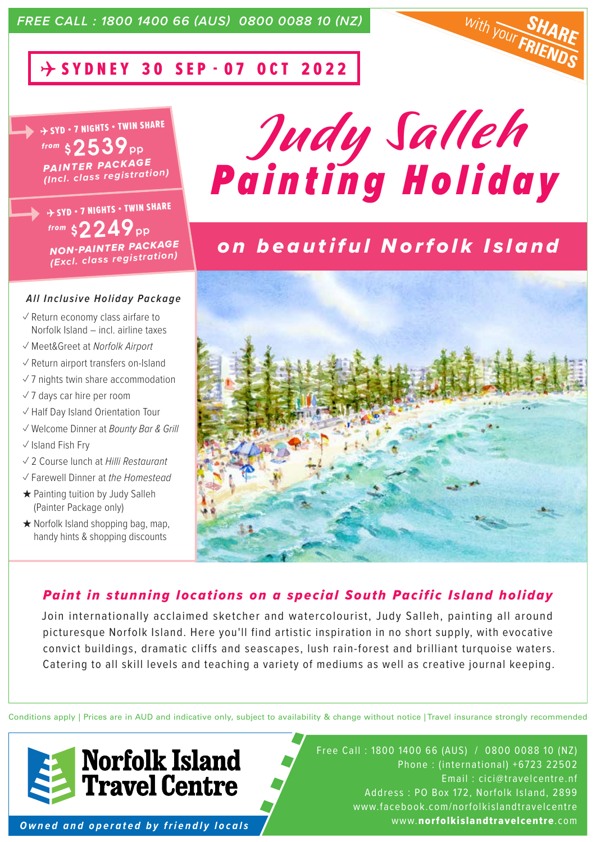# $\rightarrow$  SYDNEY 30 SEP - 07 OCT 2022

 $\rightarrow$  SYD • 7 NIGHTS • TWIN SHARE *from*  $$2539_{\rm{pp}}$ *PAINTER PACKAGE (Incl. class registration)* 

 $\rightarrow$  SYD • 7 NIGHTS • TWIN SHARE *from*  $$2249_{\rm{pp}}$ *NON-PAINTER PACKAGE (Excl. class registration)* 

#### *All Inclusive Holiday Package*

- $\sqrt{2}$  Return economy class airfare to Norfolk Island – incl. airline taxes
- ✓ Meet&Greet at *Norfolk Airport*
- ✓ Return airport transfers on-Island
- $\sqrt{7}$  nights twin share accommodation
- ✓ 7 days car hire per room
- ✓ Half Day Island Orientation Tour
- ✓ Welcome Dinner at *Bounty Bar & Grill*
- ✓ Island Fish Fry
- ✓ 2 Course lunch at *Hilli Restaurant*
- ✓ Farewell Dinner at *the Homestead*
- ★ Painting tuition by Judy Salleh (Painter Package only)
- $\star$  Norfolk Island shopping bag, map, handy hints & shopping discounts



**With YOUT E** 

# *on beautiful Norfolk Island*



### *Paint in stunning locations on a special South Pacific Island holiday*

Join internationally acclaimed sketcher and watercolourist, Judy Salleh, painting all around picturesque Norfolk Island. Here you'll find artistic inspiration in no short supply, with evocative convict buildings, dramatic cliffs and seascapes, lush rain-forest and brilliant turquoise waters. Catering to all skill levels and teaching a variety of mediums as well as creative journal keeping.

Conditions apply | Prices are in AUD and indicative only, subject to availability & change without notice | Travel insurance strongly recommended



*Owned and operated by friendly locals*

Free Call : 1800 1400 66 (AUS) / 0800 0088 10 (NZ) Phone : (international) +6723 22502 Email : cici@travelcentre.nf Address : PO Box 172, Norfolk Island, 2899 www.facebook.com/norfolkislandtravelcentre www.norfolkislandtravelcentre.com